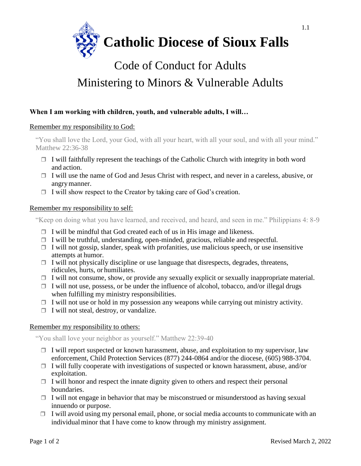

# Code of Conduct for Adults Ministering to Minors & Vulnerable Adults

## **When I am working with children, youth, and vulnerable adults, I will…**

### Remember my responsibility to God:

"You shall love the Lord, your God, with all your heart, with all your soul, and with all your mind." Matthew 22:36-38

- $\Box$  I will faithfully represent the teachings of the Catholic Church with integrity in both word and action.
- $\Box$  I will use the name of God and Jesus Christ with respect, and never in a careless, abusive, or angrymanner.
- $\Box$  I will show respect to the Creator by taking care of God's creation.

### Remember my responsibility to self:

"Keep on doing what you have learned, and received, and heard, and seen in me." Philippians 4: 8-9

- $\Box$  I will be mindful that God created each of us in His image and likeness.
- $\Box$  I will be truthful, understanding, open-minded, gracious, reliable and respectful.
- $\Box$  I will not gossip, slander, speak with profanities, use malicious speech, or use insensitive attempts at humor.
- $\Box$  I will not physically discipline or use language that disrespects, degrades, threatens, ridicules, hurts, or humiliates.
- $\Box$  I will not consume, show, or provide any sexually explicit or sexually inappropriate material.
- $\Box$  I will not use, possess, or be under the influence of alcohol, tobacco, and/or illegal drugs when fulfilling my ministry responsibilities.
- $\Box$  I will not use or hold in my possession any weapons while carrying out ministry activity.
- $\Box$  I will not steal, destroy, or vandalize.

### Remember my responsibility to others:

"You shall love your neighbor as yourself." Matthew 22:39-40

- $\Box$  I will report suspected or known harassment, abuse, and exploitation to my supervisor, law enforcement, Child Protection Services (877) 244-0864 and/or the diocese, (605) 988-3704.
- $\Box$  I will fully cooperate with investigations of suspected or known harassment, abuse, and/or exploitation.
- $\Box$  I will honor and respect the innate dignity given to others and respect their personal boundaries.
- $\Box$  I will not engage in behavior that may be misconstrued or misunderstood as having sexual innuendo or purpose.
- $\Box$  I will avoid using my personal email, phone, or social media accounts to communicate with an individualminor that I have come to know through my ministry assignment.